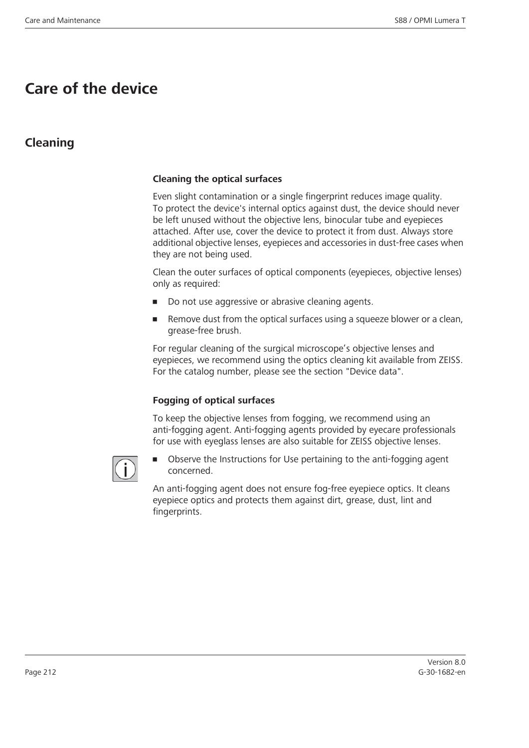# **Care of the device**

### **Cleaning**

#### **Cleaning the optical surfaces**

Even slight contamination or a single fingerprint reduces image quality. To protect the device's internal optics against dust, the device should never be left unused without the objective lens, binocular tube and eyepieces attached. After use, cover the device to protect it from dust. Always store additional objective lenses, eyepieces and accessories in dust-free cases when they are not being used.

Clean the outer surfaces of optical components (eyepieces, objective lenses) only as required:

- Do not use aggressive or abrasive cleaning agents.
- Remove dust from the optical surfaces using a squeeze blower or a clean, grease-free brush.

For regular cleaning of the surgical microscope's objective lenses and eyepieces, we recommend using the optics cleaning kit available from ZEISS. For the catalog number, please see the section "Device data".

#### **Fogging of optical surfaces**

To keep the objective lenses from fogging, we recommend using an anti-fogging agent. Anti-fogging agents provided by eyecare professionals for use with eyeglass lenses are also suitable for ZEISS objective lenses.



• Observe the Instructions for Use pertaining to the anti-fogging agent concerned.

An anti-fogging agent does not ensure fog-free eyepiece optics. It cleans eyepiece optics and protects them against dirt, grease, dust, lint and fingerprints.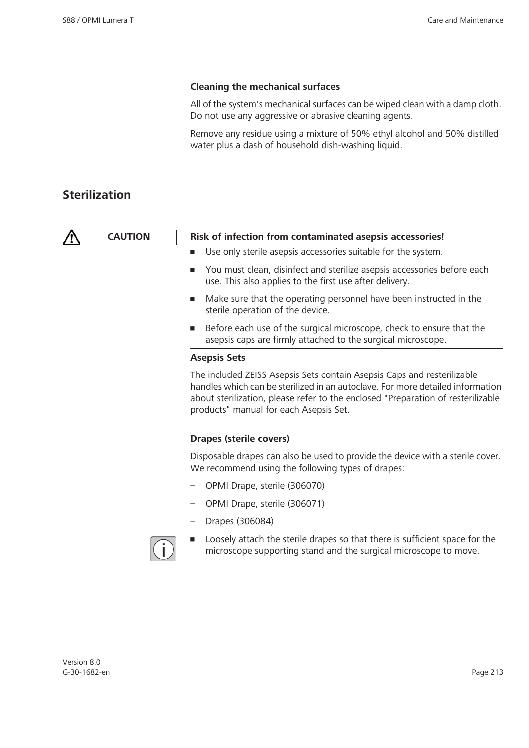#### **Cleaning the mechanical surfaces**

All of the system's mechanical surfaces can be wiped clean with a damp cloth. Do not use any aggressive or abrasive cleaning agents.

Remove any residue using a mixture of 50% ethyl alcohol and 50% distilled water plus a dash of household dish-washing liquid.

### **Sterilization**

| <b>CAUTION</b> | Risk of infection from contaminated asepsis accessories!        |  |
|----------------|-----------------------------------------------------------------|--|
|                | ■ Use only sterile asepsis accessories suitable for the system. |  |

- You must clean, disinfect and sterilize asepsis accessories before each
- use. This also applies to the first use after delivery. Make sure that the operating personnel have been instructed in the sterile operation of the device.
- Before each use of the surgical microscope, check to ensure that the asepsis caps are firmly attached to the surgical microscope.

#### **Asepsis Sets**

The included ZEISS Asepsis Sets contain Asepsis Caps and resterilizable handles which can be sterilized in an autoclave. For more detailed information about sterilization, please refer to the enclosed "Preparation of resterilizable products" manual for each Asepsis Set.

#### **Drapes (sterile covers)**

Disposable drapes can also be used to provide the device with a sterile cover. We recommend using the following types of drapes:

- OPMI Drape, sterile (306070)
- OPMI Drape, sterile (306071)
- Drapes (306084)



Loosely attach the sterile drapes so that there is sufficient space for the microscope supporting stand and the surgical microscope to move.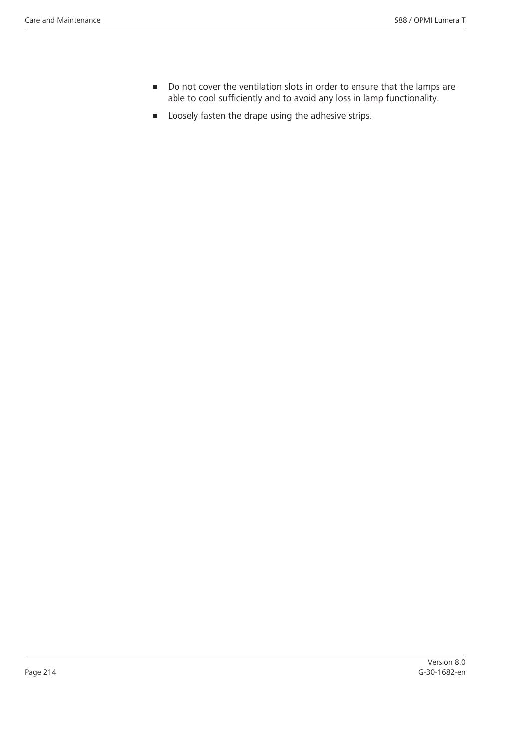- Do not cover the ventilation slots in order to ensure that the lamps are able to cool sufficiently and to avoid any loss in lamp functionality.
- **•** Loosely fasten the drape using the adhesive strips.